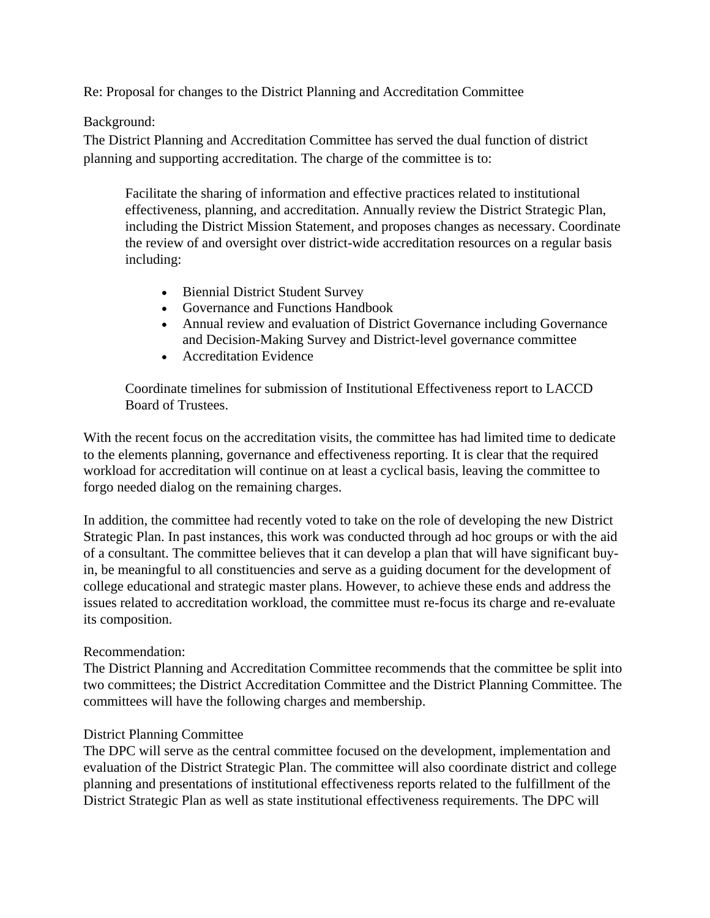Re: Proposal for changes to the District Planning and Accreditation Committee

Background:

The District Planning and Accreditation Committee has served the dual function of district planning and supporting accreditation. The charge of the committee is to:

Facilitate the sharing of information and effective practices related to institutional effectiveness, planning, and accreditation. Annually review the District Strategic Plan, including the District Mission Statement, and proposes changes as necessary. Coordinate the review of and oversight over district-wide accreditation resources on a regular basis including:

- Biennial District Student Survey
- Governance and Functions Handbook
- Annual review and evaluation of District Governance including Governance and Decision-Making Survey and District-level governance committee
- Accreditation Evidence

Coordinate timelines for submission of Institutional Effectiveness report to LACCD Board of Trustees.

With the recent focus on the accreditation visits, the committee has had limited time to dedicate to the elements planning, governance and effectiveness reporting. It is clear that the required workload for accreditation will continue on at least a cyclical basis, leaving the committee to forgo needed dialog on the remaining charges.

In addition, the committee had recently voted to take on the role of developing the new District Strategic Plan. In past instances, this work was conducted through ad hoc groups or with the aid of a consultant. The committee believes that it can develop a plan that will have significant buyin, be meaningful to all constituencies and serve as a guiding document for the development of college educational and strategic master plans. However, to achieve these ends and address the issues related to accreditation workload, the committee must re-focus its charge and re-evaluate its composition.

## Recommendation:

The District Planning and Accreditation Committee recommends that the committee be split into two committees; the District Accreditation Committee and the District Planning Committee. The committees will have the following charges and membership.

## District Planning Committee

The DPC will serve as the central committee focused on the development, implementation and evaluation of the District Strategic Plan. The committee will also coordinate district and college planning and presentations of institutional effectiveness reports related to the fulfillment of the District Strategic Plan as well as state institutional effectiveness requirements. The DPC will